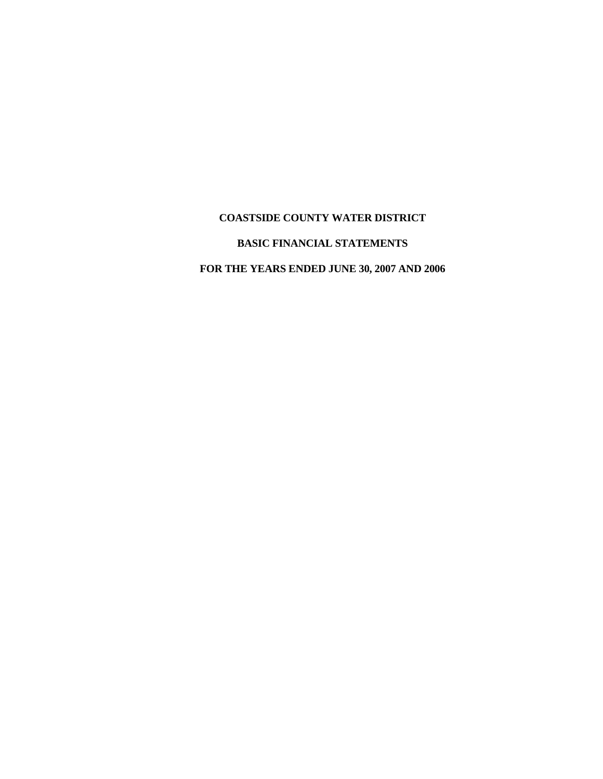# **COASTSIDE COUNTY WATER DISTRICT**

# **BASIC FINANCIAL STATEMENTS**

**FOR THE YEARS ENDED JUNE 30, 2007 AND 2006**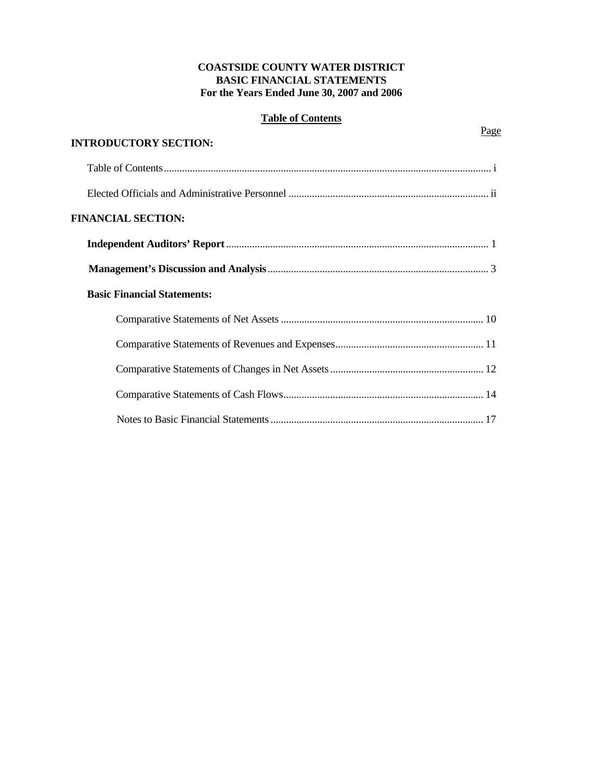# **COASTSIDE COUNTY WATER DISTRICT BASIC FINANCIAL STATEMENTS For the Years Ended June 30, 2007 and 2006**

# **Table of Contents**

**Page** 

| <b>INTRODUCTORY SECTION:</b>       |  |
|------------------------------------|--|
|                                    |  |
|                                    |  |
| <b>FINANCIAL SECTION:</b>          |  |
|                                    |  |
|                                    |  |
| <b>Basic Financial Statements:</b> |  |
|                                    |  |
|                                    |  |
|                                    |  |
|                                    |  |
|                                    |  |
|                                    |  |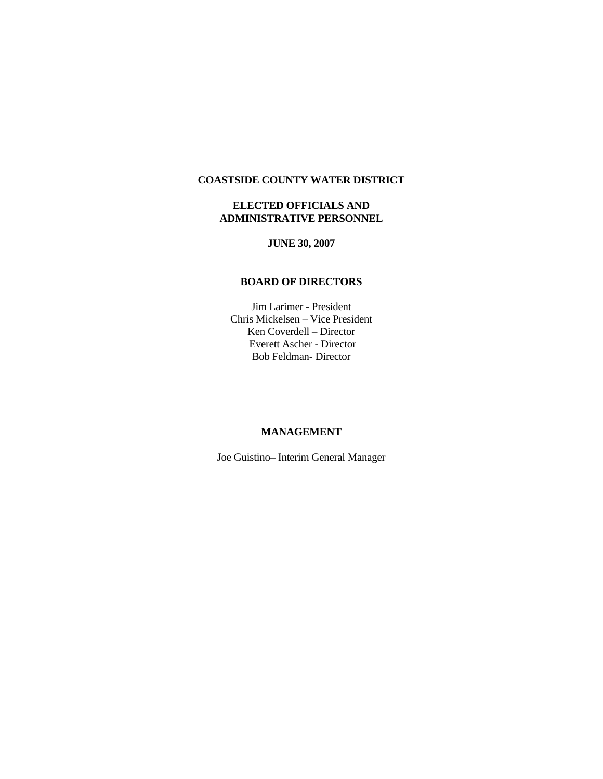# **COASTSIDE COUNTY WATER DISTRICT**

# **ELECTED OFFICIALS AND ADMINISTRATIVE PERSONNEL**

# **JUNE 30, 2007**

# **BOARD OF DIRECTORS**

Jim Larimer - President Chris Mickelsen – Vice President Ken Coverdell – Director Everett Ascher - Director Bob Feldman- Director

#### **MANAGEMENT**

Joe Guistino– Interim General Manager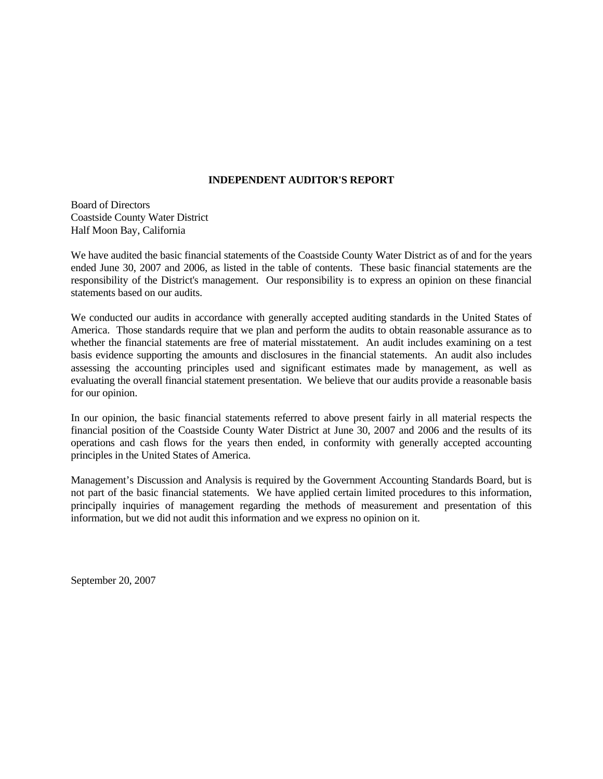#### **INDEPENDENT AUDITOR'S REPORT**

Board of Directors Coastside County Water District Half Moon Bay, California

We have audited the basic financial statements of the Coastside County Water District as of and for the years ended June 30, 2007 and 2006, as listed in the table of contents. These basic financial statements are the responsibility of the District's management. Our responsibility is to express an opinion on these financial statements based on our audits.

We conducted our audits in accordance with generally accepted auditing standards in the United States of America. Those standards require that we plan and perform the audits to obtain reasonable assurance as to whether the financial statements are free of material misstatement. An audit includes examining on a test basis evidence supporting the amounts and disclosures in the financial statements. An audit also includes assessing the accounting principles used and significant estimates made by management, as well as evaluating the overall financial statement presentation. We believe that our audits provide a reasonable basis for our opinion.

In our opinion, the basic financial statements referred to above present fairly in all material respects the financial position of the Coastside County Water District at June 30, 2007 and 2006 and the results of its operations and cash flows for the years then ended, in conformity with generally accepted accounting principles in the United States of America.

Management's Discussion and Analysis is required by the Government Accounting Standards Board, but is not part of the basic financial statements. We have applied certain limited procedures to this information, principally inquiries of management regarding the methods of measurement and presentation of this information, but we did not audit this information and we express no opinion on it.

September 20, 2007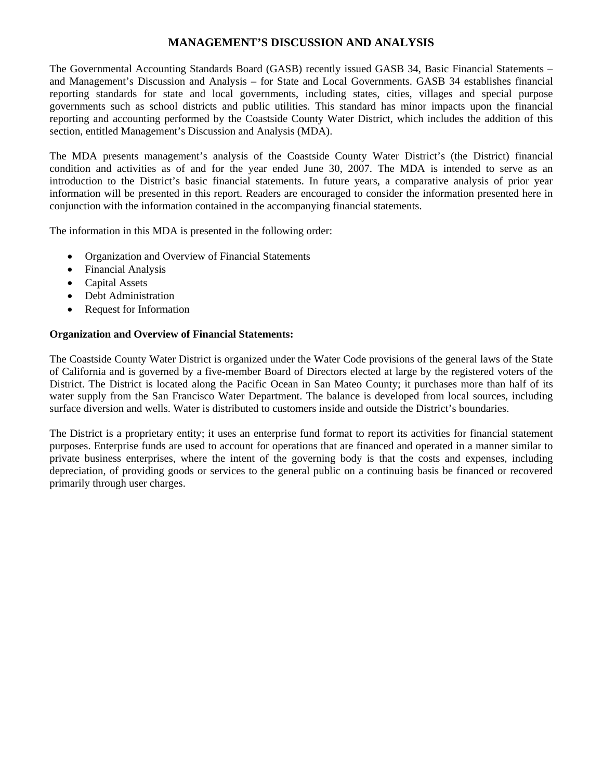# **MANAGEMENT'S DISCUSSION AND ANALYSIS**

The Governmental Accounting Standards Board (GASB) recently issued GASB 34, Basic Financial Statements – and Management's Discussion and Analysis – for State and Local Governments. GASB 34 establishes financial reporting standards for state and local governments, including states, cities, villages and special purpose governments such as school districts and public utilities. This standard has minor impacts upon the financial reporting and accounting performed by the Coastside County Water District, which includes the addition of this section, entitled Management's Discussion and Analysis (MDA).

The MDA presents management's analysis of the Coastside County Water District's (the District) financial condition and activities as of and for the year ended June 30, 2007. The MDA is intended to serve as an introduction to the District's basic financial statements. In future years, a comparative analysis of prior year information will be presented in this report. Readers are encouraged to consider the information presented here in conjunction with the information contained in the accompanying financial statements.

The information in this MDA is presented in the following order:

- Organization and Overview of Financial Statements
- Financial Analysis
- Capital Assets
- Debt Administration
- Request for Information

# **Organization and Overview of Financial Statements:**

The Coastside County Water District is organized under the Water Code provisions of the general laws of the State of California and is governed by a five-member Board of Directors elected at large by the registered voters of the District. The District is located along the Pacific Ocean in San Mateo County; it purchases more than half of its water supply from the San Francisco Water Department. The balance is developed from local sources, including surface diversion and wells. Water is distributed to customers inside and outside the District's boundaries.

The District is a proprietary entity; it uses an enterprise fund format to report its activities for financial statement purposes. Enterprise funds are used to account for operations that are financed and operated in a manner similar to private business enterprises, where the intent of the governing body is that the costs and expenses, including depreciation, of providing goods or services to the general public on a continuing basis be financed or recovered primarily through user charges.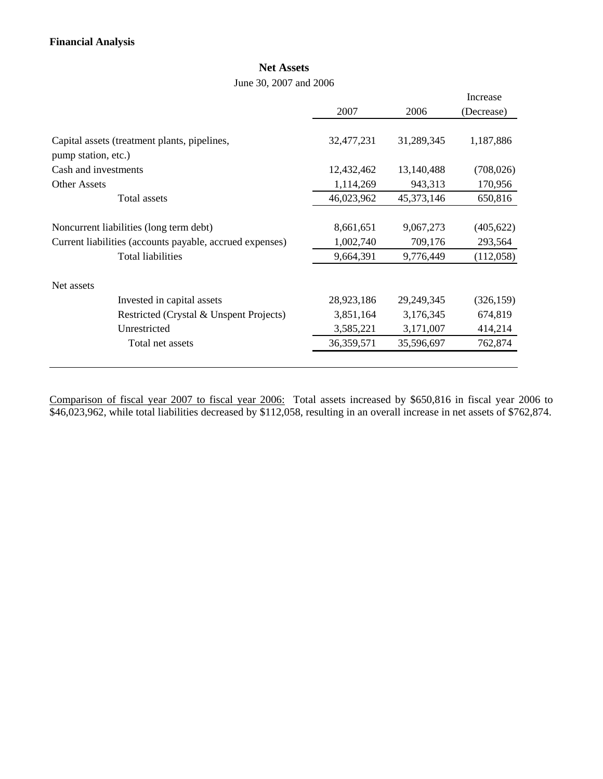# **Net Assets**

June 30, 2007 and 2006

|                                                          |            |              | Increase   |
|----------------------------------------------------------|------------|--------------|------------|
|                                                          | 2007       | 2006         | (Decrease) |
|                                                          |            |              |            |
| Capital assets (treatment plants, pipelines,             | 32,477,231 | 31,289,345   | 1,187,886  |
| pump station, etc.)                                      |            |              |            |
| Cash and investments                                     | 12,432,462 | 13,140,488   | (708, 026) |
| <b>Other Assets</b>                                      | 1,114,269  | 943,313      | 170,956    |
| Total assets                                             | 46,023,962 | 45,373,146   | 650,816    |
|                                                          |            |              |            |
| Noncurrent liabilities (long term debt)                  | 8,661,651  | 9,067,273    | (405, 622) |
| Current liabilities (accounts payable, accrued expenses) | 1,002,740  | 709,176      | 293,564    |
| <b>Total liabilities</b>                                 | 9,664,391  | 9,776,449    | (112,058)  |
|                                                          |            |              |            |
| Net assets                                               |            |              |            |
| Invested in capital assets                               | 28,923,186 | 29, 249, 345 | (326, 159) |
| Restricted (Crystal & Unspent Projects)                  | 3,851,164  | 3,176,345    | 674,819    |
| Unrestricted                                             | 3,585,221  | 3,171,007    | 414,214    |
| Total net assets                                         | 36,359,571 | 35,596,697   | 762,874    |
|                                                          |            |              |            |

Comparison of fiscal year 2007 to fiscal year 2006: Total assets increased by \$650,816 in fiscal year 2006 to \$46,023,962, while total liabilities decreased by \$112,058, resulting in an overall increase in net assets of \$762,874.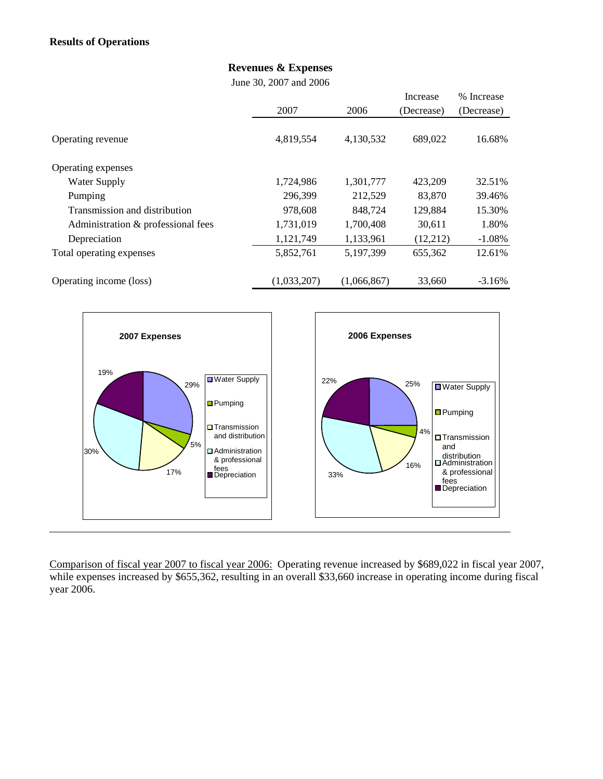# **Revenues & Expenses**

June 30, 2007 and 2006

|                                    |             |             | Increase   | % Increase |
|------------------------------------|-------------|-------------|------------|------------|
|                                    | 2007        | 2006        | (Decrease) | (Decrease) |
|                                    | 4,819,554   | 4,130,532   | 689,022    | 16.68%     |
| Operating revenue                  |             |             |            |            |
| Operating expenses                 |             |             |            |            |
| Water Supply                       | 1,724,986   | 1,301,777   | 423,209    | 32.51%     |
| Pumping                            | 296,399     | 212,529     | 83,870     | 39.46%     |
| Transmission and distribution      | 978,608     | 848,724     | 129,884    | 15.30%     |
| Administration & professional fees | 1,731,019   | 1,700,408   | 30.611     | 1.80%      |
| Depreciation                       | 1,121,749   | 1,133,961   | (12,212)   | $-1.08%$   |
| Total operating expenses           | 5,852,761   | 5,197,399   | 655,362    | 12.61%     |
| Operating income (loss)            | (1,033,207) | (1,066,867) | 33,660     | $-3.16%$   |



Comparison of fiscal year 2007 to fiscal year 2006: Operating revenue increased by \$689,022 in fiscal year 2007, while expenses increased by \$655,362, resulting in an overall \$33,660 increase in operating income during fiscal year 2006.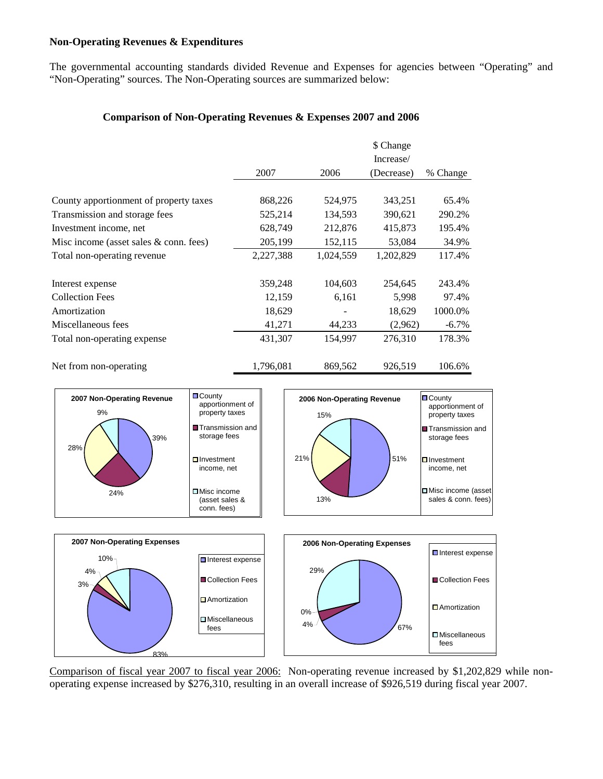# **Non-Operating Revenues & Expenditures**

The governmental accounting standards divided Revenue and Expenses for agencies between "Operating" and "Non-Operating" sources. The Non-Operating sources are summarized below:

# **Comparison of Non-Operating Revenues & Expenses 2007 and 2006**

|                                          |           |           | \$ Change  |          |
|------------------------------------------|-----------|-----------|------------|----------|
|                                          |           |           | Increase/  |          |
|                                          | 2007      | 2006      | (Decrease) | % Change |
| County apportionment of property taxes   | 868,226   | 524,975   | 343,251    | 65.4%    |
| Transmission and storage fees            | 525,214   | 134,593   | 390,621    | 290.2%   |
| Investment income, net                   | 628,749   | 212,876   | 415,873    | 195.4%   |
| Misc income (asset sales $&$ conn. fees) | 205,199   | 152,115   | 53,084     | 34.9%    |
| Total non-operating revenue              | 2,227,388 | 1,024,559 | 1,202,829  | 117.4%   |
| Interest expense                         | 359,248   | 104,603   | 254,645    | 243.4%   |
| <b>Collection Fees</b>                   | 12,159    | 6,161     | 5,998      | 97.4%    |
| Amortization                             | 18,629    |           | 18,629     | 1000.0%  |
| Miscellaneous fees                       | 41,271    | 44,233    | (2,962)    | $-6.7\%$ |
| Total non-operating expense              | 431,307   | 154,997   | 276,310    | 178.3%   |
| Net from non-operating                   | 1,796,081 | 869,562   | 926,519    | 106.6%   |



Comparison of fiscal year 2007 to fiscal year 2006: Non-operating revenue increased by \$1,202,829 while nonoperating expense increased by \$276,310, resulting in an overall increase of \$926,519 during fiscal year 2007.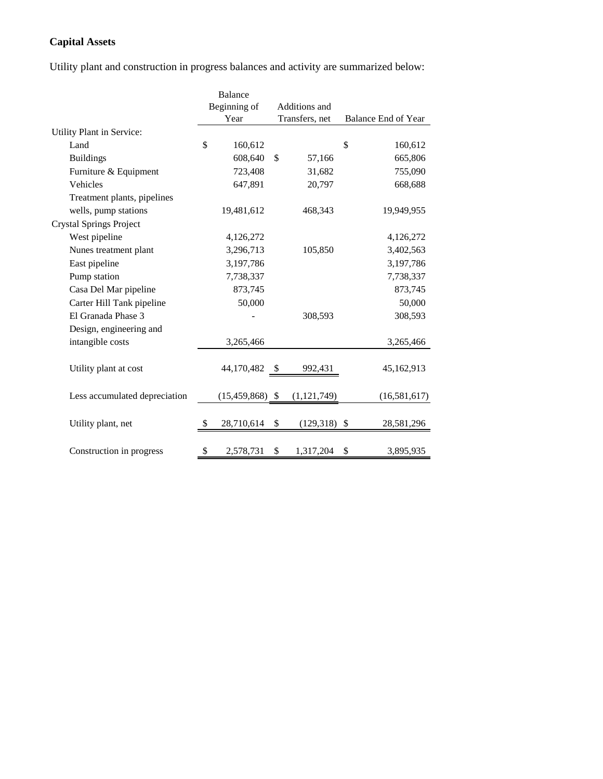# **Capital Assets**

Utility plant and construction in progress balances and activity are summarized below:

|                                | Balance           |               |                |    |                     |
|--------------------------------|-------------------|---------------|----------------|----|---------------------|
|                                | Beginning of      | Additions and |                |    |                     |
|                                | Year              |               | Transfers, net |    | Balance End of Year |
| Utility Plant in Service:      |                   |               |                |    |                     |
| Land                           | \$<br>160,612     |               |                | \$ | 160,612             |
| <b>Buildings</b>               | 608,640           | \$            | 57,166         |    | 665,806             |
| Furniture & Equipment          | 723,408           |               | 31,682         |    | 755,090             |
| Vehicles                       | 647,891           |               | 20,797         |    | 668,688             |
| Treatment plants, pipelines    |                   |               |                |    |                     |
| wells, pump stations           | 19,481,612        |               | 468,343        |    | 19,949,955          |
| <b>Crystal Springs Project</b> |                   |               |                |    |                     |
| West pipeline                  | 4,126,272         |               |                |    | 4,126,272           |
| Nunes treatment plant          | 3,296,713         |               | 105,850        |    | 3,402,563           |
| East pipeline                  | 3,197,786         |               |                |    | 3,197,786           |
| Pump station                   | 7,738,337         |               |                |    | 7,738,337           |
| Casa Del Mar pipeline          | 873,745           |               |                |    | 873,745             |
| Carter Hill Tank pipeline      | 50,000            |               |                |    | 50,000              |
| El Granada Phase 3             |                   |               | 308,593        |    | 308,593             |
| Design, engineering and        |                   |               |                |    |                     |
| intangible costs               | 3,265,466         |               |                |    | 3,265,466           |
|                                |                   |               |                |    |                     |
| Utility plant at cost          | 44,170,482        | - S           | 992,431        |    | 45,162,913          |
|                                |                   |               |                |    |                     |
| Less accumulated depreciation  | $(15,459,868)$ \$ |               | (1, 121, 749)  |    | (16,581,617)        |
|                                |                   |               |                |    |                     |
| Utility plant, net             | 28,710,614        | \$            | $(129,318)$ \$ |    | 28,581,296          |
|                                |                   |               |                |    |                     |
| Construction in progress       | \$<br>2,578,731   | \$            | 1,317,204      | \$ | 3,895,935           |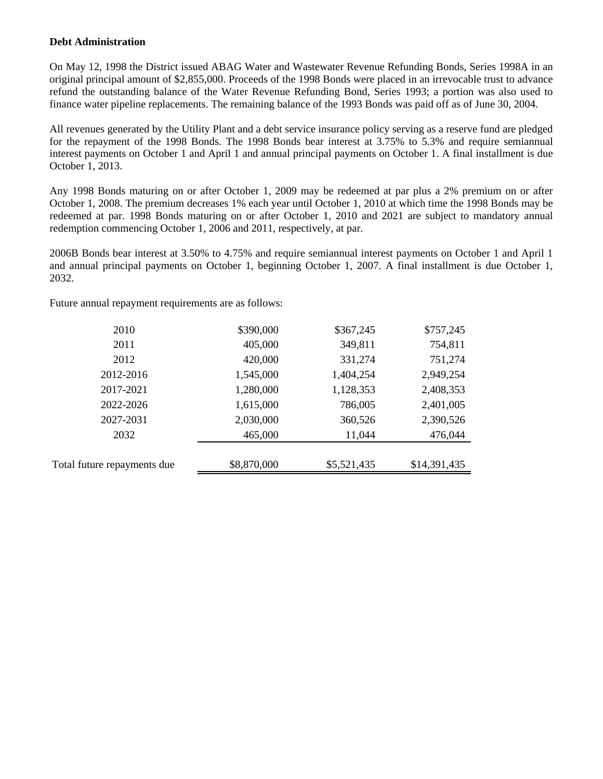#### **Debt Administration**

On May 12, 1998 the District issued ABAG Water and Wastewater Revenue Refunding Bonds, Series 1998A in an original principal amount of \$2,855,000. Proceeds of the 1998 Bonds were placed in an irrevocable trust to advance refund the outstanding balance of the Water Revenue Refunding Bond, Series 1993; a portion was also used to finance water pipeline replacements. The remaining balance of the 1993 Bonds was paid off as of June 30, 2004.

All revenues generated by the Utility Plant and a debt service insurance policy serving as a reserve fund are pledged for the repayment of the 1998 Bonds. The 1998 Bonds bear interest at 3.75% to 5.3% and require semiannual interest payments on October 1 and April 1 and annual principal payments on October 1. A final installment is due October 1, 2013.

Any 1998 Bonds maturing on or after October 1, 2009 may be redeemed at par plus a 2% premium on or after October 1, 2008. The premium decreases 1% each year until October 1, 2010 at which time the 1998 Bonds may be redeemed at par. 1998 Bonds maturing on or after October 1, 2010 and 2021 are subject to mandatory annual redemption commencing October 1, 2006 and 2011, respectively, at par.

2006B Bonds bear interest at 3.50% to 4.75% and require semiannual interest payments on October 1 and April 1 and annual principal payments on October 1, beginning October 1, 2007. A final installment is due October 1, 2032.

Future annual repayment requirements are as follows:

| 2010                        | \$390,000   | \$367,245   | \$757,245    |
|-----------------------------|-------------|-------------|--------------|
| 2011                        | 405,000     | 349,811     | 754,811      |
| 2012                        | 420,000     | 331,274     | 751,274      |
| 2012-2016                   | 1,545,000   | 1,404,254   | 2,949,254    |
| 2017-2021                   | 1,280,000   | 1,128,353   | 2,408,353    |
| 2022-2026                   | 1,615,000   | 786,005     | 2,401,005    |
| 2027-2031                   | 2,030,000   | 360,526     | 2,390,526    |
| 2032                        | 465,000     | 11,044      | 476,044      |
|                             |             |             |              |
| Total future repayments due | \$8,870,000 | \$5,521,435 | \$14,391,435 |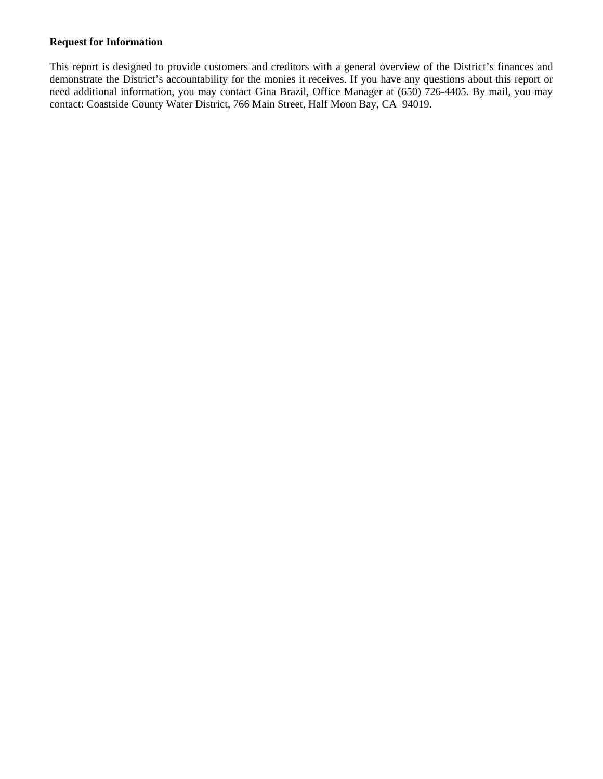#### **Request for Information**

This report is designed to provide customers and creditors with a general overview of the District's finances and demonstrate the District's accountability for the monies it receives. If you have any questions about this report or need additional information, you may contact Gina Brazil, Office Manager at (650) 726-4405. By mail, you may contact: Coastside County Water District, 766 Main Street, Half Moon Bay, CA 94019.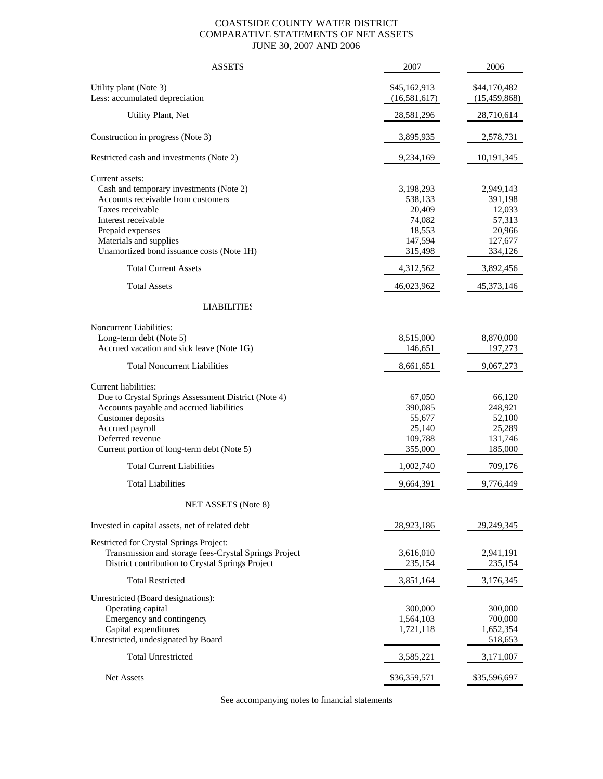#### COASTSIDE COUNTY WATER DISTRICT COMPARATIVE STATEMENTS OF NET ASSETS JUNE 30, 2007 AND 2006

| <b>ASSETS</b>                                                                                                                                                                                                                                                         | 2007                                                                                  | 2006                                                                                  |
|-----------------------------------------------------------------------------------------------------------------------------------------------------------------------------------------------------------------------------------------------------------------------|---------------------------------------------------------------------------------------|---------------------------------------------------------------------------------------|
| Utility plant (Note 3)<br>Less: accumulated depreciation                                                                                                                                                                                                              | \$45,162,913<br>(16, 581, 617)                                                        | \$44,170,482<br>(15, 459, 868)                                                        |
| Utility Plant, Net                                                                                                                                                                                                                                                    | 28,581,296                                                                            | 28,710,614                                                                            |
| Construction in progress (Note 3)                                                                                                                                                                                                                                     | 3,895,935                                                                             | 2,578,731                                                                             |
| Restricted cash and investments (Note 2)                                                                                                                                                                                                                              | 9,234,169                                                                             | 10,191,345                                                                            |
| Current assets:<br>Cash and temporary investments (Note 2)<br>Accounts receivable from customers<br>Taxes receivable<br>Interest receivable<br>Prepaid expenses<br>Materials and supplies<br>Unamortized bond issuance costs (Note 1H)<br><b>Total Current Assets</b> | 3,198,293<br>538,133<br>20,409<br>74,082<br>18,553<br>147,594<br>315,498<br>4,312,562 | 2,949,143<br>391,198<br>12,033<br>57,313<br>20,966<br>127,677<br>334,126<br>3,892,456 |
| <b>Total Assets</b>                                                                                                                                                                                                                                                   | 46,023,962                                                                            | 45,373,146                                                                            |
| <b>LIABILITIES</b>                                                                                                                                                                                                                                                    |                                                                                       |                                                                                       |
| Noncurrent Liabilities:<br>Long-term debt (Note 5)<br>Accrued vacation and sick leave (Note 1G)<br><b>Total Noncurrent Liabilities</b>                                                                                                                                | 8,515,000<br>146,651<br>8,661,651                                                     | 8,870,000<br>197,273<br>9,067,273                                                     |
| Current liabilities:<br>Due to Crystal Springs Assessment District (Note 4)<br>Accounts payable and accrued liabilities<br>Customer deposits<br>Accrued payroll<br>Deferred revenue<br>Current portion of long-term debt (Note 5)                                     | 67,050<br>390,085<br>55,677<br>25,140<br>109,788<br>355,000                           | 66,120<br>248,921<br>52,100<br>25,289<br>131,746<br>185,000                           |
| <b>Total Current Liabilities</b>                                                                                                                                                                                                                                      | 1,002,740                                                                             | 709,176                                                                               |
| <b>Total Liabilities</b>                                                                                                                                                                                                                                              | 9,664,391                                                                             | 9,776,449                                                                             |
| NET ASSETS (Note 8)                                                                                                                                                                                                                                                   |                                                                                       |                                                                                       |
| Invested in capital assets, net of related debt                                                                                                                                                                                                                       | 28,923,186                                                                            | 29,249,345                                                                            |
| Restricted for Crystal Springs Project:<br>Transmission and storage fees-Crystal Springs Project<br>District contribution to Crystal Springs Project                                                                                                                  | 3,616,010<br>235,154                                                                  | 2,941,191<br>235,154                                                                  |
| <b>Total Restricted</b>                                                                                                                                                                                                                                               | 3,851,164                                                                             | 3,176,345                                                                             |
| Unrestricted (Board designations):<br>Operating capital<br>Emergency and contingency<br>Capital expenditures<br>Unrestricted, undesignated by Board                                                                                                                   | 300,000<br>1,564,103<br>1,721,118                                                     | 300,000<br>700,000<br>1,652,354<br>518,653                                            |
| <b>Total Unrestricted</b>                                                                                                                                                                                                                                             | 3,585,221                                                                             | 3,171,007                                                                             |
| Net Assets                                                                                                                                                                                                                                                            | \$36,359,571                                                                          | \$35,596,697                                                                          |

See accompanying notes to financial statements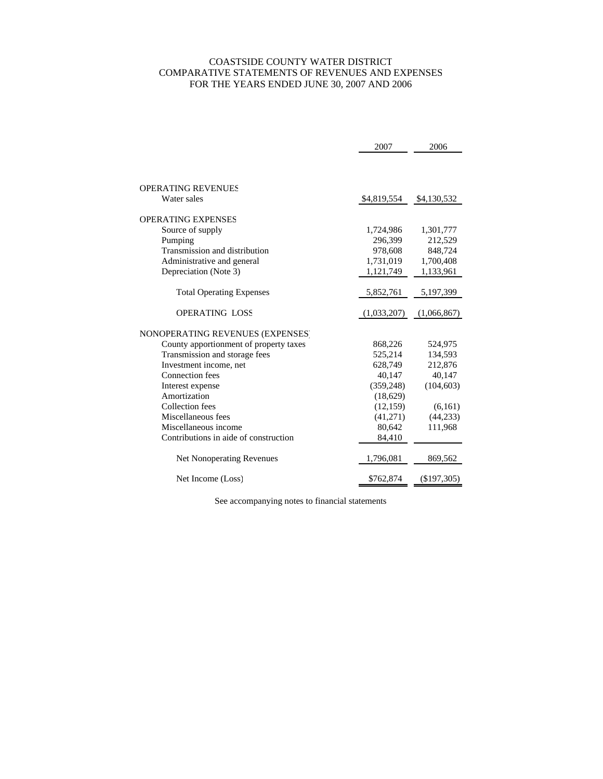#### COASTSIDE COUNTY WATER DISTRICT COMPARATIVE STATEMENTS OF REVENUES AND EXPENSES FOR THE YEARS ENDED JUNE 30, 2007 AND 2006

|                                        | 2007        | 2006        |
|----------------------------------------|-------------|-------------|
|                                        |             |             |
|                                        |             |             |
| OPERATING REVENUES                     |             |             |
| Water sales                            | \$4,819,554 | \$4,130,532 |
| OPERATING EXPENSES                     |             |             |
| Source of supply                       | 1,724,986   | 1,301,777   |
| Pumping                                | 296,399     | 212,529     |
| Transmission and distribution          | 978,608     | 848,724     |
| Administrative and general             | 1,731,019   | 1,700,408   |
| Depreciation (Note 3)                  | 1,121,749   | 1,133,961   |
|                                        |             |             |
| <b>Total Operating Expenses</b>        | 5,852,761   | 5,197,399   |
| <b>OPERATING LOSS</b>                  | (1,033,207) | (1,066,867) |
|                                        |             |             |
| NONOPERATING REVENUES (EXPENSES)       |             |             |
| County apportionment of property taxes | 868,226     | 524,975     |
| Transmission and storage fees          | 525,214     | 134,593     |
| Investment income, net                 | 628,749     | 212,876     |
| Connection fees                        | 40,147      | 40,147      |
| Interest expense                       | (359, 248)  | (104, 603)  |
| Amortization                           | (18,629)    |             |
| <b>Collection</b> fees                 | (12, 159)   | (6,161)     |
| Miscellaneous fees                     | (41,271)    | (44, 233)   |
| Miscellaneous income                   | 80,642      | 111,968     |
| Contributions in aide of construction  | 84,410      |             |
| Net Nonoperating Revenues              | 1,796,081   | 869,562     |
| Net Income (Loss)                      | \$762,874   | (\$197,305) |

See accompanying notes to financial statements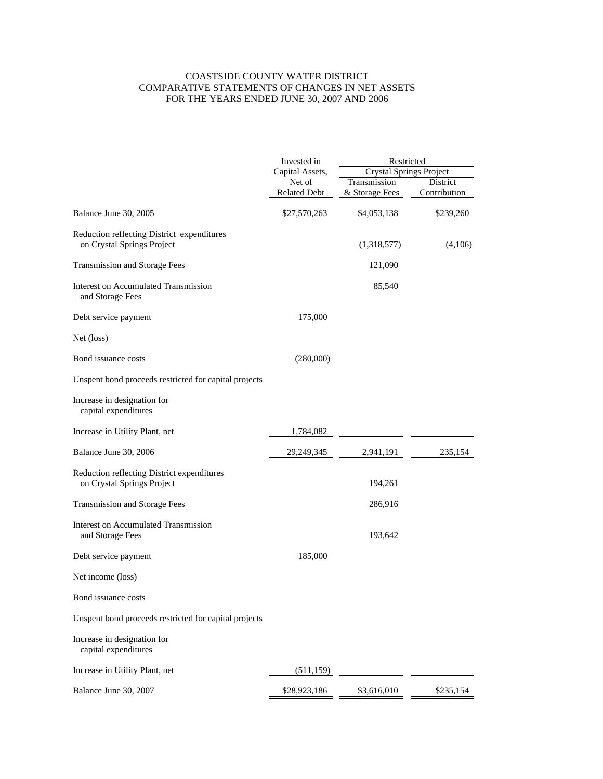#### COASTSIDE COUNTY WATER DISTRICT COMPARATIVE STATEMENTS OF CHANGES IN NET ASSETS FOR THE YEARS ENDED JUNE 30, 2007 AND 2006

|                                                                          | Invested in         | Restricted                     |              |
|--------------------------------------------------------------------------|---------------------|--------------------------------|--------------|
|                                                                          | Capital Assets,     | <b>Crystal Springs Project</b> |              |
|                                                                          | Net of              | Transmission                   | District     |
|                                                                          | <b>Related Debt</b> | & Storage Fees                 | Contribution |
| Balance June 30, 2005                                                    | \$27,570,263        | \$4,053,138                    | \$239,260    |
| Reduction reflecting District expenditures<br>on Crystal Springs Project |                     | (1,318,577)                    | (4,106)      |
| Transmission and Storage Fees                                            |                     | 121,090                        |              |
| Interest on Accumulated Transmission<br>and Storage Fees                 |                     | 85,540                         |              |
| Debt service payment                                                     | 175,000             |                                |              |
| Net (loss)                                                               |                     |                                |              |
| Bond issuance costs                                                      | (280,000)           |                                |              |
| Unspent bond proceeds restricted for capital projects                    |                     |                                |              |
| Increase in designation for<br>capital expenditures                      |                     |                                |              |
| Increase in Utility Plant, net                                           | 1,784,082           |                                |              |
| Balance June 30, 2006                                                    | 29,249,345          | 2,941,191                      | 235,154      |
| Reduction reflecting District expenditures<br>on Crystal Springs Project |                     | 194,261                        |              |
| Transmission and Storage Fees                                            |                     | 286,916                        |              |
| Interest on Accumulated Transmission<br>and Storage Fees                 |                     | 193,642                        |              |
| Debt service payment                                                     | 185,000             |                                |              |
| Net income (loss)                                                        |                     |                                |              |
| Bond issuance costs                                                      |                     |                                |              |
| Unspent bond proceeds restricted for capital projects                    |                     |                                |              |
| Increase in designation for<br>capital expenditures                      |                     |                                |              |
| Increase in Utility Plant, net                                           | (511, 159)          |                                |              |
| Balance June 30, 2007                                                    | \$28,923,186        | \$3,616,010                    | \$235,154    |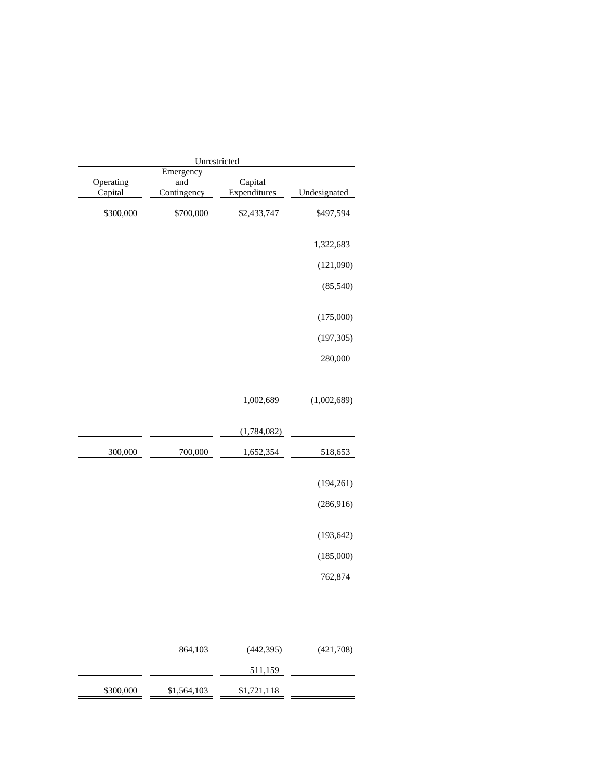| Unrestricted         |                                 |                         |              |  |  |
|----------------------|---------------------------------|-------------------------|--------------|--|--|
| Operating<br>Capital | Emergency<br>and<br>Contingency | Capital<br>Expenditures | Undesignated |  |  |
| \$300,000            | \$700,000                       | \$2,433,747             | \$497,594    |  |  |
|                      |                                 |                         | 1,322,683    |  |  |
|                      |                                 |                         | (121,090)    |  |  |
|                      |                                 |                         | (85,540)     |  |  |
|                      |                                 |                         | (175,000)    |  |  |
|                      |                                 |                         | (197, 305)   |  |  |
|                      |                                 |                         | 280,000      |  |  |
|                      |                                 | 1,002,689               | (1,002,689)  |  |  |
|                      |                                 | (1,784,082)             |              |  |  |
| 300,000              | 700,000                         | 1,652,354               | 518,653      |  |  |
|                      |                                 |                         | (194, 261)   |  |  |
|                      |                                 |                         | (286, 916)   |  |  |
|                      |                                 |                         | (193, 642)   |  |  |
|                      |                                 |                         | (185,000)    |  |  |
|                      |                                 |                         | 762,874      |  |  |
|                      |                                 |                         |              |  |  |
|                      | 864,103                         | (442, 395)              | (421,708)    |  |  |
|                      |                                 | 511,159                 |              |  |  |
| \$300,000            | \$1,564,103                     | \$1,721,118             |              |  |  |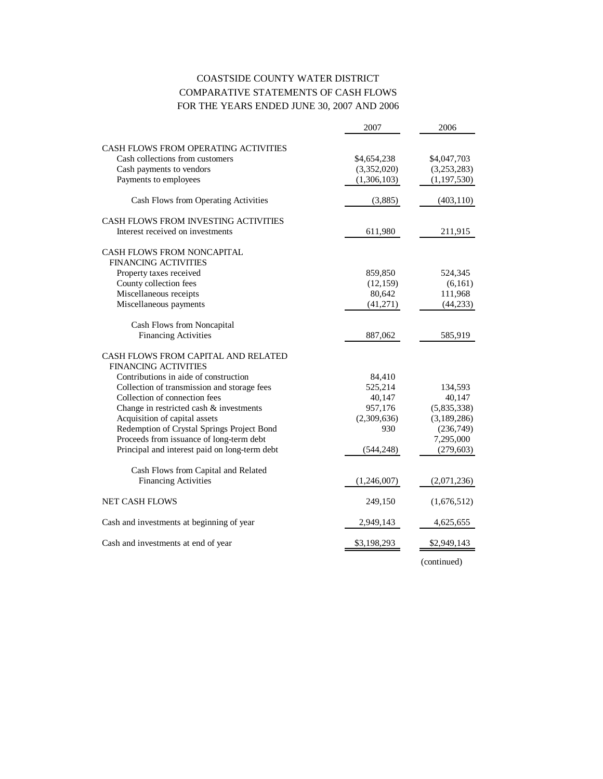# COASTSIDE COUNTY WATER DISTRICT COMPARATIVE STATEMENTS OF CASH FLOWS FOR THE YEARS ENDED JUNE 30, 2007 AND 2006

|                                               | 2007        | 2006          |
|-----------------------------------------------|-------------|---------------|
| CASH FLOWS FROM OPERATING ACTIVITIES          |             |               |
| Cash collections from customers               | \$4,654,238 | \$4,047,703   |
| Cash payments to vendors                      | (3,352,020) | (3,253,283)   |
| Payments to employees                         | (1,306,103) | (1, 197, 530) |
| Cash Flows from Operating Activities          | (3,885)     | (403, 110)    |
| CASH FLOWS FROM INVESTING ACTIVITIES          |             |               |
| Interest received on investments              | 611,980     | 211,915       |
| CASH FLOWS FROM NONCAPITAL                    |             |               |
| <b>FINANCING ACTIVITIES</b>                   |             |               |
| Property taxes received                       | 859,850     | 524,345       |
| County collection fees                        | (12, 159)   | (6,161)       |
| Miscellaneous receipts                        | 80,642      | 111,968       |
| Miscellaneous payments                        | (41,271)    | (44, 233)     |
| Cash Flows from Noncapital                    |             |               |
| <b>Financing Activities</b>                   | 887,062     | 585,919       |
| CASH FLOWS FROM CAPITAL AND RELATED           |             |               |
| <b>FINANCING ACTIVITIES</b>                   |             |               |
| Contributions in aide of construction         | 84,410      |               |
| Collection of transmission and storage fees   | 525,214     | 134,593       |
| Collection of connection fees                 | 40,147      | 40,147        |
| Change in restricted cash & investments       | 957,176     | (5,835,338)   |
| Acquisition of capital assets                 | (2,309,636) | (3,189,286)   |
| Redemption of Crystal Springs Project Bond    | 930         | (236,749)     |
| Proceeds from issuance of long-term debt      |             | 7,295,000     |
| Principal and interest paid on long-term debt | (544, 248)  | (279, 603)    |
| Cash Flows from Capital and Related           |             |               |
| <b>Financing Activities</b>                   | (1,246,007) | (2,071,236)   |
| <b>NET CASH FLOWS</b>                         | 249,150     | (1,676,512)   |
| Cash and investments at beginning of year     | 2,949,143   | 4,625,655     |
| Cash and investments at end of year           | \$3,198,293 | \$2,949,143   |
|                                               |             |               |

(continued)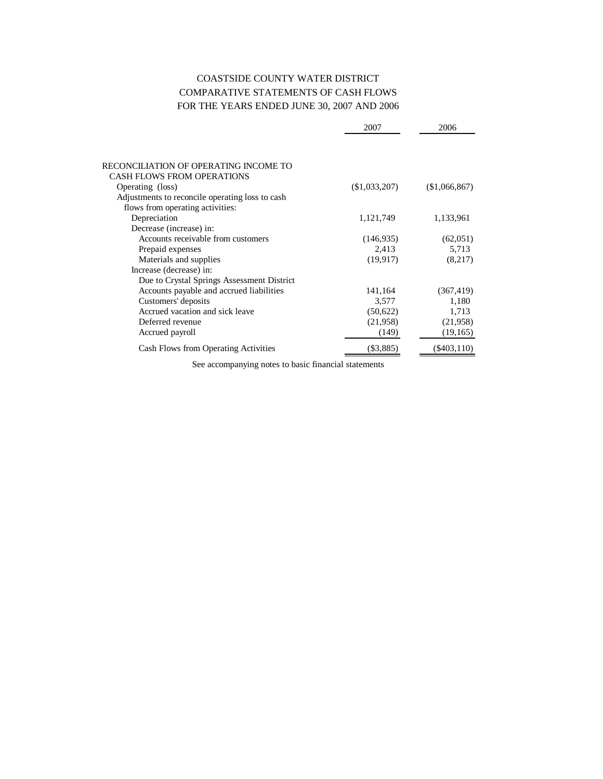# COASTSIDE COUNTY WATER DISTRICT COMPARATIVE STATEMENTS OF CASH FLOWS FOR THE YEARS ENDED JUNE 30, 2007 AND 2006

|                                                 | 2007          | 2006          |
|-------------------------------------------------|---------------|---------------|
|                                                 |               |               |
| RECONCILIATION OF OPERATING INCOME TO           |               |               |
| <b>CASH FLOWS FROM OPERATIONS</b>               |               |               |
| Operating (loss)                                | (\$1,033,207) | (\$1,066,867) |
| Adjustments to reconcile operating loss to cash |               |               |
| flows from operating activities:                |               |               |
| Depreciation                                    | 1,121,749     | 1,133,961     |
| Decrease (increase) in:                         |               |               |
| Accounts receivable from customers              | (146, 935)    | (62,051)      |
| Prepaid expenses                                | 2,413         | 5,713         |
| Materials and supplies                          | (19, 917)     | (8,217)       |
| Increase (decrease) in:                         |               |               |
| Due to Crystal Springs Assessment District      |               |               |
| Accounts payable and accrued liabilities        | 141,164       | (367, 419)    |
| Customers' deposits                             | 3,577         | 1,180         |
| Accrued vacation and sick leave                 | (50,622)      | 1,713         |
| Deferred revenue                                | (21,958)      | (21,958)      |
| Accrued payroll                                 | (149)         | (19, 165)     |
| Cash Flows from Operating Activities            | $(\$3,885)$   | $(\$403,110)$ |

See accompanying notes to basic financial statements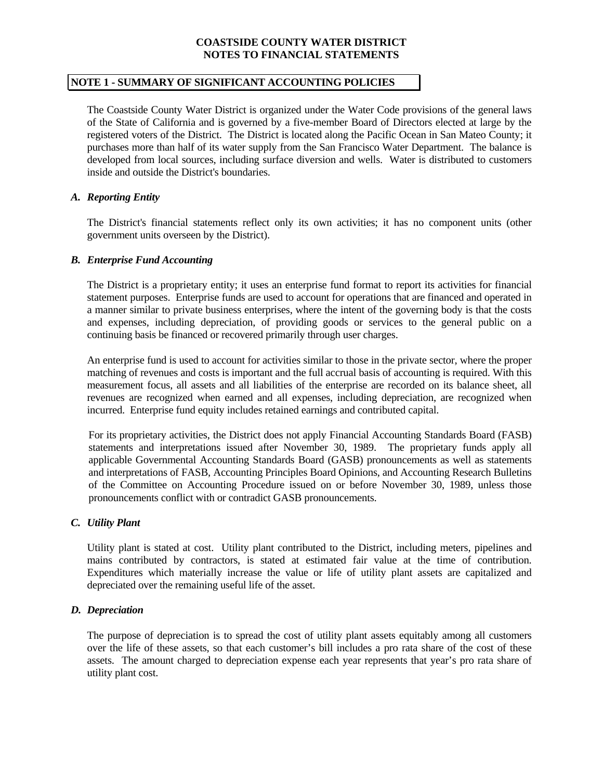# **NOTE 1 - SUMMARY OF SIGNIFICANT ACCOUNTING POLICIES**

 The Coastside County Water District is organized under the Water Code provisions of the general laws of the State of California and is governed by a five-member Board of Directors elected at large by the registered voters of the District. The District is located along the Pacific Ocean in San Mateo County; it purchases more than half of its water supply from the San Francisco Water Department. The balance is developed from local sources, including surface diversion and wells. Water is distributed to customers inside and outside the District's boundaries.

# *A. Reporting Entity*

 The District's financial statements reflect only its own activities; it has no component units (other government units overseen by the District).

#### *B. Enterprise Fund Accounting*

 The District is a proprietary entity; it uses an enterprise fund format to report its activities for financial statement purposes. Enterprise funds are used to account for operations that are financed and operated in a manner similar to private business enterprises, where the intent of the governing body is that the costs and expenses, including depreciation, of providing goods or services to the general public on a continuing basis be financed or recovered primarily through user charges.

 An enterprise fund is used to account for activities similar to those in the private sector, where the proper matching of revenues and costs is important and the full accrual basis of accounting is required. With this measurement focus, all assets and all liabilities of the enterprise are recorded on its balance sheet, all revenues are recognized when earned and all expenses, including depreciation, are recognized when incurred. Enterprise fund equity includes retained earnings and contributed capital.

For its proprietary activities, the District does not apply Financial Accounting Standards Board (FASB) statements and interpretations issued after November 30, 1989. The proprietary funds apply all applicable Governmental Accounting Standards Board (GASB) pronouncements as well as statements and interpretations of FASB, Accounting Principles Board Opinions, and Accounting Research Bulletins of the Committee on Accounting Procedure issued on or before November 30, 1989, unless those pronouncements conflict with or contradict GASB pronouncements.

# *C. Utility Plant*

 Utility plant is stated at cost. Utility plant contributed to the District, including meters, pipelines and mains contributed by contractors, is stated at estimated fair value at the time of contribution. Expenditures which materially increase the value or life of utility plant assets are capitalized and depreciated over the remaining useful life of the asset.

# *D. Depreciation*

The purpose of depreciation is to spread the cost of utility plant assets equitably among all customers over the life of these assets, so that each customer's bill includes a pro rata share of the cost of these assets. The amount charged to depreciation expense each year represents that year's pro rata share of utility plant cost.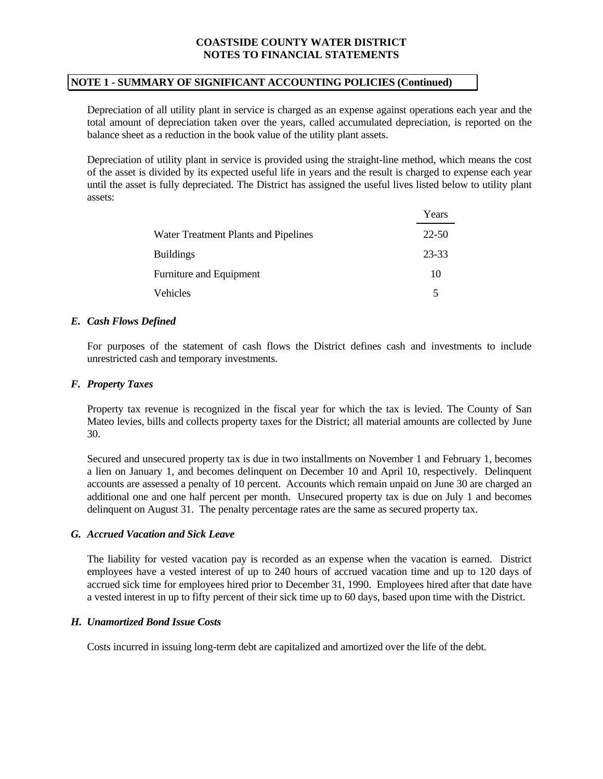### **NOTE 1 - SUMMARY OF SIGNIFICANT ACCOUNTING POLICIES (Continued)**

 Depreciation of all utility plant in service is charged as an expense against operations each year and the total amount of depreciation taken over the years, called accumulated depreciation, is reported on the balance sheet as a reduction in the book value of the utility plant assets.

 Depreciation of utility plant in service is provided using the straight-line method, which means the cost of the asset is divided by its expected useful life in years and the result is charged to expense each year until the asset is fully depreciated. The District has assigned the useful lives listed below to utility plant assets:

|                                      | Years |
|--------------------------------------|-------|
| Water Treatment Plants and Pipelines | 22-50 |
| <b>Buildings</b>                     | 23-33 |
| Furniture and Equipment              | 10    |
| <b>Vehicles</b>                      | 5     |

# *E. Cash Flows Defined*

 For purposes of the statement of cash flows the District defines cash and investments to include unrestricted cash and temporary investments.

#### *F. Property Taxes*

 Property tax revenue is recognized in the fiscal year for which the tax is levied. The County of San Mateo levies, bills and collects property taxes for the District; all material amounts are collected by June 30.

 Secured and unsecured property tax is due in two installments on November 1 and February 1, becomes a lien on January 1, and becomes delinquent on December 10 and April 10, respectively. Delinquent accounts are assessed a penalty of 10 percent. Accounts which remain unpaid on June 30 are charged an additional one and one half percent per month. Unsecured property tax is due on July 1 and becomes delinquent on August 31. The penalty percentage rates are the same as secured property tax.

# *G. Accrued Vacation and Sick Leave*

 The liability for vested vacation pay is recorded as an expense when the vacation is earned. District employees have a vested interest of up to 240 hours of accrued vacation time and up to 120 days of accrued sick time for employees hired prior to December 31, 1990. Employees hired after that date have a vested interest in up to fifty percent of their sick time up to 60 days, based upon time with the District.

# *H. Unamortized Bond Issue Costs*

Costs incurred in issuing long-term debt are capitalized and amortized over the life of the debt.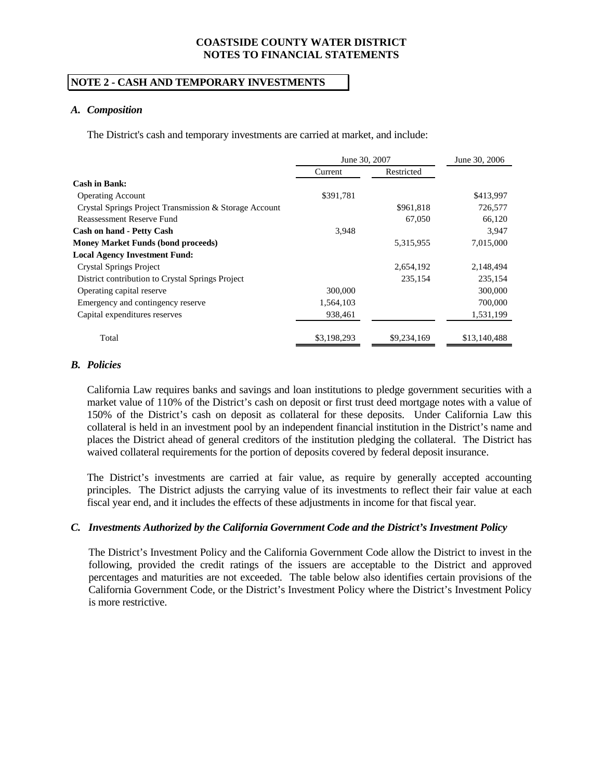# **NOTE 2 - CASH AND TEMPORARY INVESTMENTS**

#### *A. Composition*

The District's cash and temporary investments are carried at market, and include:

|                                                        | June 30, 2007 | June 30, 2006 |              |
|--------------------------------------------------------|---------------|---------------|--------------|
|                                                        | Current       | Restricted    |              |
| Cash in Bank:                                          |               |               |              |
| <b>Operating Account</b>                               | \$391,781     |               | \$413,997    |
| Crystal Springs Project Transmission & Storage Account |               | \$961,818     | 726,577      |
| <b>Reassessment Reserve Fund</b>                       |               | 67,050        | 66,120       |
| <b>Cash on hand - Petty Cash</b>                       | 3.948         |               | 3.947        |
| <b>Money Market Funds (bond proceeds)</b>              |               | 5,315,955     | 7,015,000    |
| <b>Local Agency Investment Fund:</b>                   |               |               |              |
| <b>Crystal Springs Project</b>                         |               | 2,654,192     | 2,148,494    |
| District contribution to Crystal Springs Project       |               | 235,154       | 235,154      |
| Operating capital reserve                              | 300,000       |               | 300,000      |
| Emergency and contingency reserve                      | 1,564,103     |               | 700,000      |
| Capital expenditures reserves                          | 938,461       |               | 1,531,199    |
| Total                                                  | \$3,198,293   | \$9,234,169   | \$13,140,488 |

#### *B. Policies*

 California Law requires banks and savings and loan institutions to pledge government securities with a market value of 110% of the District's cash on deposit or first trust deed mortgage notes with a value of 150% of the District's cash on deposit as collateral for these deposits. Under California Law this collateral is held in an investment pool by an independent financial institution in the District's name and places the District ahead of general creditors of the institution pledging the collateral. The District has waived collateral requirements for the portion of deposits covered by federal deposit insurance.

 The District's investments are carried at fair value, as require by generally accepted accounting principles. The District adjusts the carrying value of its investments to reflect their fair value at each fiscal year end, and it includes the effects of these adjustments in income for that fiscal year.

# *C. Investments Authorized by the California Government Code and the District's Investment Policy*

 The District's Investment Policy and the California Government Code allow the District to invest in the following, provided the credit ratings of the issuers are acceptable to the District and approved percentages and maturities are not exceeded. The table below also identifies certain provisions of the California Government Code, or the District's Investment Policy where the District's Investment Policy is more restrictive.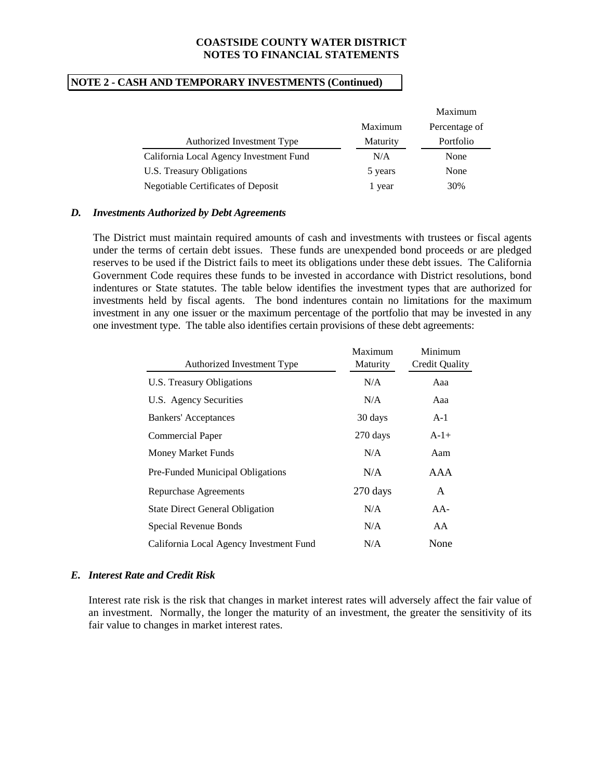# **NOTE 2 - CASH AND TEMPORARY INVESTMENTS (Continued)**

|                                         |                 | Maximum       |
|-----------------------------------------|-----------------|---------------|
|                                         | Maximum         | Percentage of |
| Authorized Investment Type              | <b>Maturity</b> | Portfolio     |
| California Local Agency Investment Fund | N/A             | None          |
| U.S. Treasury Obligations               | 5 years         | None          |
| Negotiable Certificates of Deposit      | year            | 30%           |

#### *D. Investments Authorized by Debt Agreements*

The District must maintain required amounts of cash and investments with trustees or fiscal agents under the terms of certain debt issues. These funds are unexpended bond proceeds or are pledged reserves to be used if the District fails to meet its obligations under these debt issues. The California Government Code requires these funds to be invested in accordance with District resolutions, bond indentures or State statutes. The table below identifies the investment types that are authorized for investments held by fiscal agents. The bond indentures contain no limitations for the maximum investment in any one issuer or the maximum percentage of the portfolio that may be invested in any one investment type. The table also identifies certain provisions of these debt agreements:

| Authorized Investment Type              | Maximum<br>Maturity | Minimum<br>Credit Quality |
|-----------------------------------------|---------------------|---------------------------|
| U.S. Treasury Obligations               | N/A                 | Aaa                       |
| U.S. Agency Securities                  | N/A                 | Aaa                       |
| <b>Bankers'</b> Acceptances             | 30 days             | $A-1$                     |
| Commercial Paper                        | 270 days            | $A-1+$                    |
| Money Market Funds                      | N/A                 | Aam                       |
| Pre-Funded Municipal Obligations        | N/A                 | AAA                       |
| <b>Repurchase Agreements</b>            | 270 days            | A                         |
| <b>State Direct General Obligation</b>  | N/A                 | $AA-$                     |
| Special Revenue Bonds                   | N/A                 | AA                        |
| California Local Agency Investment Fund | N/A                 | None                      |

# *E. Interest Rate and Credit Risk*

 Interest rate risk is the risk that changes in market interest rates will adversely affect the fair value of an investment. Normally, the longer the maturity of an investment, the greater the sensitivity of its fair value to changes in market interest rates.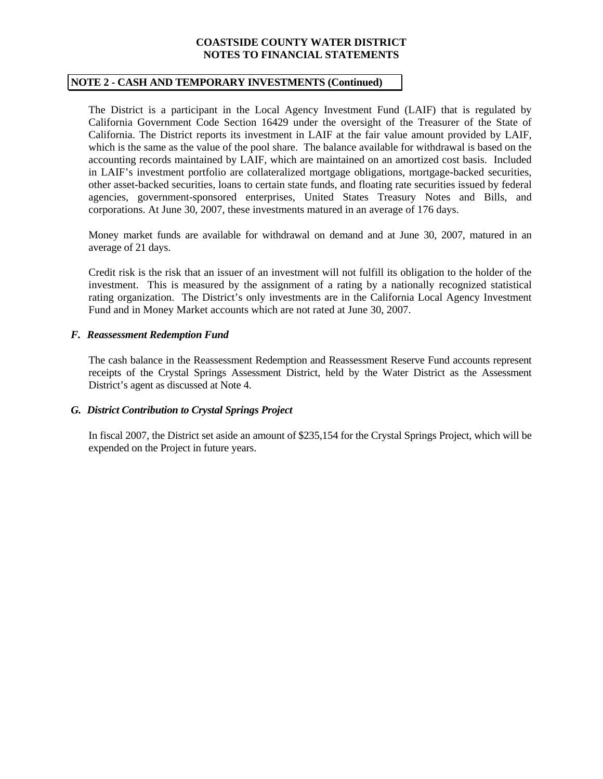#### **NOTE 2 - CASH AND TEMPORARY INVESTMENTS (Continued)**

 The District is a participant in the Local Agency Investment Fund (LAIF) that is regulated by California Government Code Section 16429 under the oversight of the Treasurer of the State of California. The District reports its investment in LAIF at the fair value amount provided by LAIF, which is the same as the value of the pool share. The balance available for withdrawal is based on the accounting records maintained by LAIF, which are maintained on an amortized cost basis. Included in LAIF's investment portfolio are collateralized mortgage obligations, mortgage-backed securities, other asset-backed securities, loans to certain state funds, and floating rate securities issued by federal agencies, government-sponsored enterprises, United States Treasury Notes and Bills, and corporations. At June 30, 2007, these investments matured in an average of 176 days.

Money market funds are available for withdrawal on demand and at June 30, 2007, matured in an average of 21 days.

Credit risk is the risk that an issuer of an investment will not fulfill its obligation to the holder of the investment. This is measured by the assignment of a rating by a nationally recognized statistical rating organization. The District's only investments are in the California Local Agency Investment Fund and in Money Market accounts which are not rated at June 30, 2007.

# *F. Reassessment Redemption Fund*

The cash balance in the Reassessment Redemption and Reassessment Reserve Fund accounts represent receipts of the Crystal Springs Assessment District, held by the Water District as the Assessment District's agent as discussed at Note 4.

# *G. District Contribution to Crystal Springs Project*

In fiscal 2007, the District set aside an amount of \$235,154 for the Crystal Springs Project, which will be expended on the Project in future years.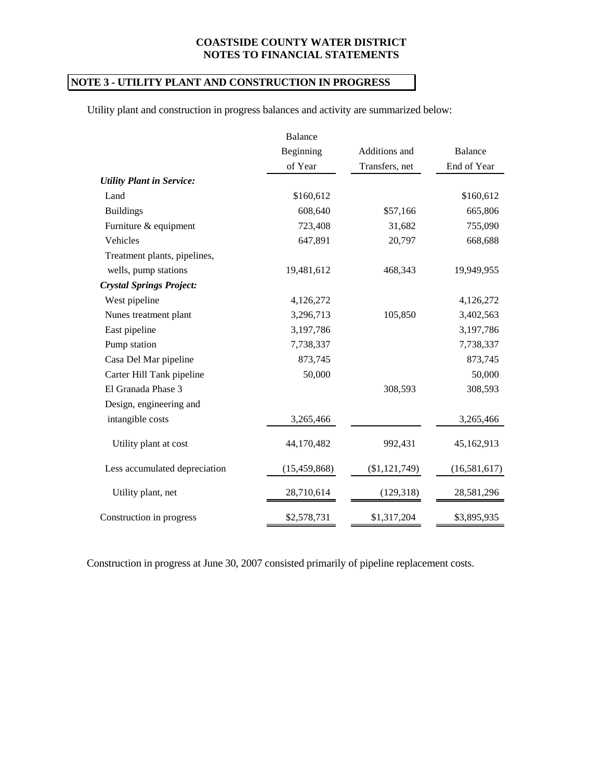# **NOTE 3 - UTILITY PLANT AND CONSTRUCTION IN PROGRESS**

Utility plant and construction in progress balances and activity are summarized below:

|                                  | <b>Balance</b> |                |              |
|----------------------------------|----------------|----------------|--------------|
|                                  | Beginning      | Additions and  | Balance      |
|                                  | of Year        | Transfers, net | End of Year  |
| <b>Utility Plant in Service:</b> |                |                |              |
| Land                             | \$160,612      |                | \$160,612    |
| <b>Buildings</b>                 | 608,640        | \$57,166       | 665,806      |
| Furniture & equipment            | 723,408        | 31,682         | 755,090      |
| Vehicles                         | 647,891        | 20,797         | 668,688      |
| Treatment plants, pipelines,     |                |                |              |
| wells, pump stations             | 19,481,612     | 468,343        | 19,949,955   |
| <b>Crystal Springs Project:</b>  |                |                |              |
| West pipeline                    | 4,126,272      |                | 4,126,272    |
| Nunes treatment plant            | 3,296,713      | 105,850        | 3,402,563    |
| East pipeline                    | 3,197,786      |                | 3,197,786    |
| Pump station                     | 7,738,337      |                | 7,738,337    |
| Casa Del Mar pipeline            | 873,745        |                | 873,745      |
| Carter Hill Tank pipeline        | 50,000         |                | 50,000       |
| El Granada Phase 3               |                | 308,593        | 308,593      |
| Design, engineering and          |                |                |              |
| intangible costs                 | 3,265,466      |                | 3,265,466    |
| Utility plant at cost            | 44,170,482     | 992,431        | 45,162,913   |
| Less accumulated depreciation    | (15, 459, 868) | (\$1,121,749)  | (16,581,617) |
| Utility plant, net               | 28,710,614     | (129, 318)     | 28,581,296   |
| Construction in progress         | \$2,578,731    | \$1,317,204    | \$3,895,935  |

Construction in progress at June 30, 2007 consisted primarily of pipeline replacement costs.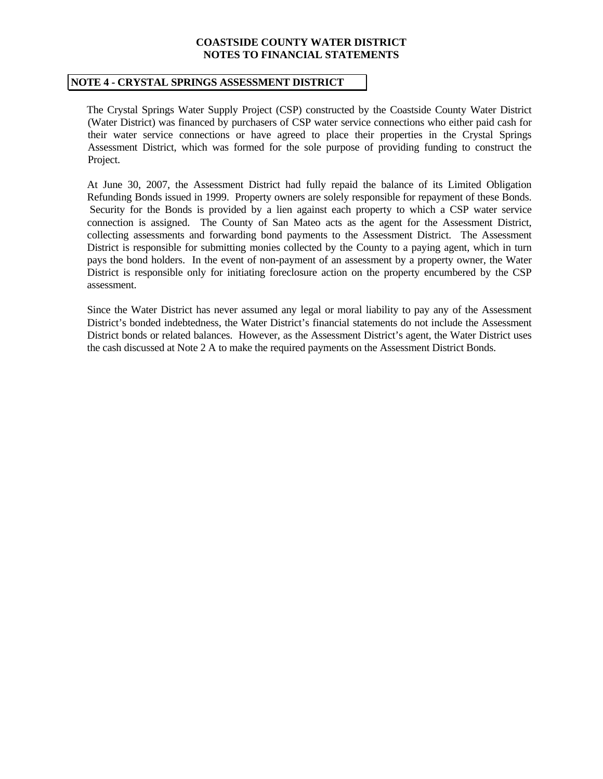#### **NOTE 4 - CRYSTAL SPRINGS ASSESSMENT DISTRICT**

 The Crystal Springs Water Supply Project (CSP) constructed by the Coastside County Water District (Water District) was financed by purchasers of CSP water service connections who either paid cash for their water service connections or have agreed to place their properties in the Crystal Springs Assessment District, which was formed for the sole purpose of providing funding to construct the Project.

 At June 30, 2007, the Assessment District had fully repaid the balance of its Limited Obligation Refunding Bonds issued in 1999. Property owners are solely responsible for repayment of these Bonds. Security for the Bonds is provided by a lien against each property to which a CSP water service connection is assigned. The County of San Mateo acts as the agent for the Assessment District, collecting assessments and forwarding bond payments to the Assessment District. The Assessment District is responsible for submitting monies collected by the County to a paying agent, which in turn pays the bond holders. In the event of non-payment of an assessment by a property owner, the Water District is responsible only for initiating foreclosure action on the property encumbered by the CSP assessment.

 Since the Water District has never assumed any legal or moral liability to pay any of the Assessment District's bonded indebtedness, the Water District's financial statements do not include the Assessment District bonds or related balances. However, as the Assessment District's agent, the Water District uses the cash discussed at Note 2 A to make the required payments on the Assessment District Bonds.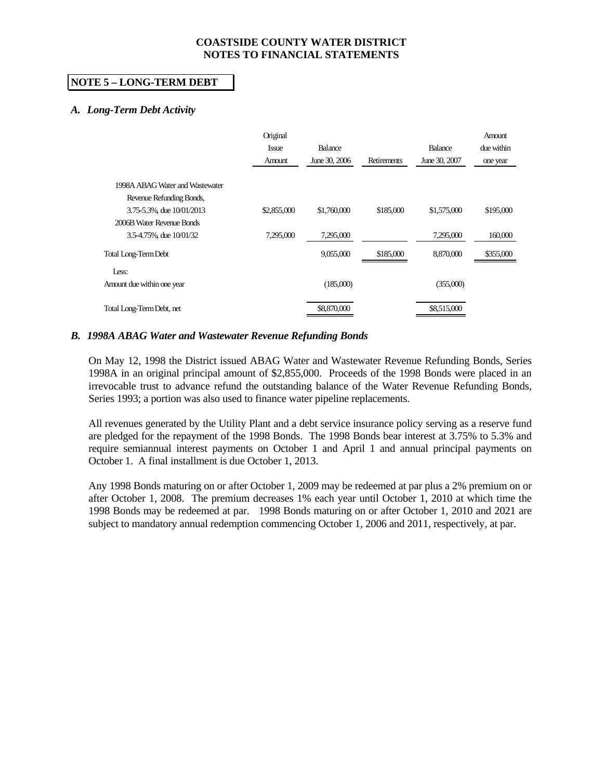# **NOTE 5 – LONG-TERM DEBT**

# *A. Long-Term Debt Activity*

|                                 | Original<br><b>Issue</b><br>Amount | <b>Balance</b><br>June 30, 2006 | Retirements | Balance<br>June 30, 2007 | Amount<br>due within<br>one year |
|---------------------------------|------------------------------------|---------------------------------|-------------|--------------------------|----------------------------------|
| 1998A ABAG Water and Wastewater |                                    |                                 |             |                          |                                  |
| Revenue Refunding Bonds,        |                                    |                                 |             |                          |                                  |
| 3.75-5.3%, due 10/01/2013       | \$2,855,000                        | \$1,760,000                     | \$185,000   | \$1,575,000              | \$195,000                        |
| 2006B Water Revenue Bonds       |                                    |                                 |             |                          |                                  |
| 3.5-4.75%, due 10/01/32         | 7,295,000                          | 7,295,000                       |             | 7,295,000                | 160,000                          |
| Total Long-Term Debt            |                                    | 9,055,000                       | \$185,000   | 8,870,000                | \$355,000                        |
| Less:                           |                                    |                                 |             |                          |                                  |
| Amount due within one year      |                                    | (185,000)                       |             | (355,000)                |                                  |
| Total Long-Term Debt, net       |                                    | \$8,870,000                     |             | \$8,515,000              |                                  |

# *B. 1998A ABAG Water and Wastewater Revenue Refunding Bonds*

On May 12, 1998 the District issued ABAG Water and Wastewater Revenue Refunding Bonds, Series 1998A in an original principal amount of \$2,855,000. Proceeds of the 1998 Bonds were placed in an irrevocable trust to advance refund the outstanding balance of the Water Revenue Refunding Bonds, Series 1993; a portion was also used to finance water pipeline replacements.

All revenues generated by the Utility Plant and a debt service insurance policy serving as a reserve fund are pledged for the repayment of the 1998 Bonds. The 1998 Bonds bear interest at 3.75% to 5.3% and require semiannual interest payments on October 1 and April 1 and annual principal payments on October 1. A final installment is due October 1, 2013.

Any 1998 Bonds maturing on or after October 1, 2009 may be redeemed at par plus a 2% premium on or after October 1, 2008. The premium decreases 1% each year until October 1, 2010 at which time the 1998 Bonds may be redeemed at par. 1998 Bonds maturing on or after October 1, 2010 and 2021 are subject to mandatory annual redemption commencing October 1, 2006 and 2011, respectively, at par.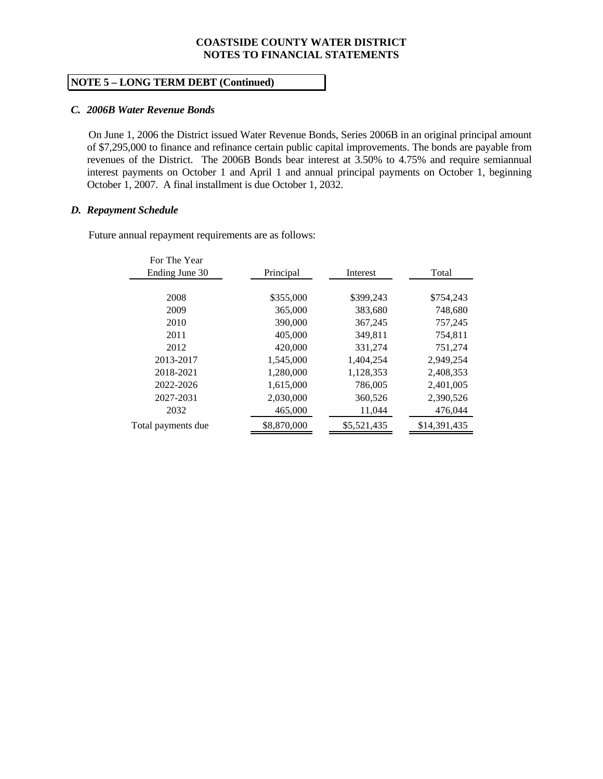# **NOTE 5 – LONG TERM DEBT (Continued)**

#### *C. 2006B Water Revenue Bonds*

 On June 1, 2006 the District issued Water Revenue Bonds, Series 2006B in an original principal amount of \$7,295,000 to finance and refinance certain public capital improvements. The bonds are payable from revenues of the District. The 2006B Bonds bear interest at 3.50% to 4.75% and require semiannual interest payments on October 1 and April 1 and annual principal payments on October 1, beginning October 1, 2007. A final installment is due October 1, 2032.

#### *D. Repayment Schedule*

Future annual repayment requirements are as follows:

| For The Year       |             |             |              |
|--------------------|-------------|-------------|--------------|
| Ending June 30     | Principal   | Interest    | Total        |
|                    |             |             |              |
| 2008               | \$355,000   | \$399.243   | \$754,243    |
| 2009               | 365,000     | 383,680     | 748,680      |
| 2010               | 390,000     | 367,245     | 757,245      |
| 2011               | 405,000     | 349,811     | 754,811      |
| 2012               | 420,000     | 331,274     | 751,274      |
| 2013-2017          | 1,545,000   | 1,404,254   | 2,949,254    |
| 2018-2021          | 1.280.000   | 1,128,353   | 2,408,353    |
| 2022-2026          | 1,615,000   | 786,005     | 2,401,005    |
| 2027-2031          | 2,030,000   | 360,526     | 2,390,526    |
| 2032               | 465,000     | 11,044      | 476,044      |
| Total payments due | \$8,870,000 | \$5,521,435 | \$14,391,435 |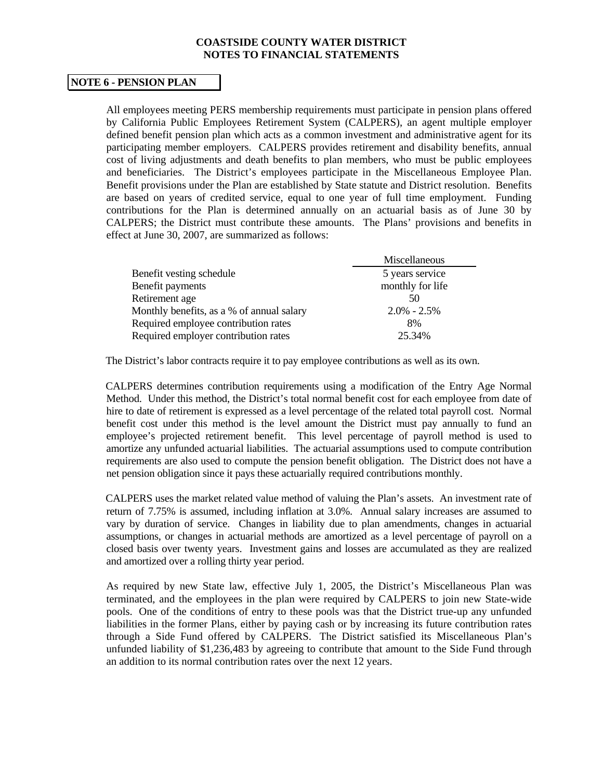# **NOTE 6 - PENSION PLAN**

All employees meeting PERS membership requirements must participate in pension plans offered by California Public Employees Retirement System (CALPERS), an agent multiple employer defined benefit pension plan which acts as a common investment and administrative agent for its participating member employers. CALPERS provides retirement and disability benefits, annual cost of living adjustments and death benefits to plan members, who must be public employees and beneficiaries. The District's employees participate in the Miscellaneous Employee Plan. Benefit provisions under the Plan are established by State statute and District resolution. Benefits are based on years of credited service, equal to one year of full time employment. Funding contributions for the Plan is determined annually on an actuarial basis as of June 30 by CALPERS; the District must contribute these amounts. The Plans' provisions and benefits in effect at June 30, 2007, are summarized as follows:

|                                           | Miscellaneous    |
|-------------------------------------------|------------------|
| Benefit vesting schedule                  | 5 years service  |
| Benefit payments                          | monthly for life |
| Retirement age                            | 50               |
| Monthly benefits, as a % of annual salary | $2.0\% - 2.5\%$  |
| Required employee contribution rates      | 8%               |
| Required employer contribution rates      | 25.34%           |

The District's labor contracts require it to pay employee contributions as well as its own.

 CALPERS determines contribution requirements using a modification of the Entry Age Normal Method. Under this method, the District's total normal benefit cost for each employee from date of hire to date of retirement is expressed as a level percentage of the related total payroll cost. Normal benefit cost under this method is the level amount the District must pay annually to fund an employee's projected retirement benefit. This level percentage of payroll method is used to amortize any unfunded actuarial liabilities. The actuarial assumptions used to compute contribution requirements are also used to compute the pension benefit obligation. The District does not have a net pension obligation since it pays these actuarially required contributions monthly.

 CALPERS uses the market related value method of valuing the Plan's assets. An investment rate of return of 7.75% is assumed, including inflation at 3.0%. Annual salary increases are assumed to vary by duration of service. Changes in liability due to plan amendments, changes in actuarial assumptions, or changes in actuarial methods are amortized as a level percentage of payroll on a closed basis over twenty years. Investment gains and losses are accumulated as they are realized and amortized over a rolling thirty year period.

 As required by new State law, effective July 1, 2005, the District's Miscellaneous Plan was terminated, and the employees in the plan were required by CALPERS to join new State-wide pools. One of the conditions of entry to these pools was that the District true-up any unfunded liabilities in the former Plans, either by paying cash or by increasing its future contribution rates through a Side Fund offered by CALPERS. The District satisfied its Miscellaneous Plan's unfunded liability of \$1,236,483 by agreeing to contribute that amount to the Side Fund through an addition to its normal contribution rates over the next 12 years.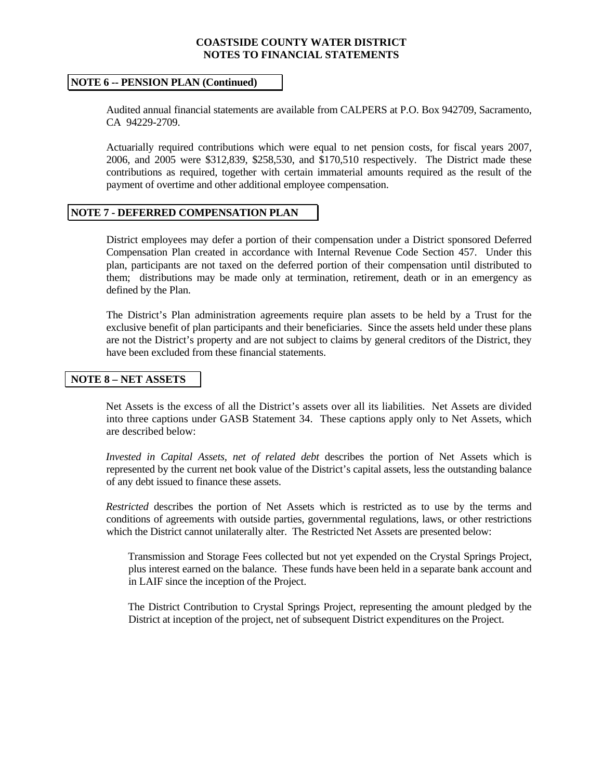#### **NOTE 6 -- PENSION PLAN (Continued)**

 Audited annual financial statements are available from CALPERS at P.O. Box 942709, Sacramento, CA 94229-2709.

Actuarially required contributions which were equal to net pension costs, for fiscal years 2007, 2006, and 2005 were \$312,839, \$258,530, and \$170,510 respectively. The District made these contributions as required, together with certain immaterial amounts required as the result of the payment of overtime and other additional employee compensation.

# **NOTE 7 - DEFERRED COMPENSATION PLAN**

 District employees may defer a portion of their compensation under a District sponsored Deferred Compensation Plan created in accordance with Internal Revenue Code Section 457. Under this plan, participants are not taxed on the deferred portion of their compensation until distributed to them; distributions may be made only at termination, retirement, death or in an emergency as defined by the Plan.

 The District's Plan administration agreements require plan assets to be held by a Trust for the exclusive benefit of plan participants and their beneficiaries. Since the assets held under these plans are not the District's property and are not subject to claims by general creditors of the District, they have been excluded from these financial statements.

#### **NOTE 8 – NET ASSETS**

Net Assets is the excess of all the District's assets over all its liabilities. Net Assets are divided into three captions under GASB Statement 34. These captions apply only to Net Assets, which are described below:

*Invested in Capital Assets, net of related debt* describes the portion of Net Assets which is represented by the current net book value of the District's capital assets, less the outstanding balance of any debt issued to finance these assets.

*Restricted* describes the portion of Net Assets which is restricted as to use by the terms and conditions of agreements with outside parties, governmental regulations, laws, or other restrictions which the District cannot unilaterally alter. The Restricted Net Assets are presented below:

Transmission and Storage Fees collected but not yet expended on the Crystal Springs Project, plus interest earned on the balance. These funds have been held in a separate bank account and in LAIF since the inception of the Project.

The District Contribution to Crystal Springs Project, representing the amount pledged by the District at inception of the project, net of subsequent District expenditures on the Project.